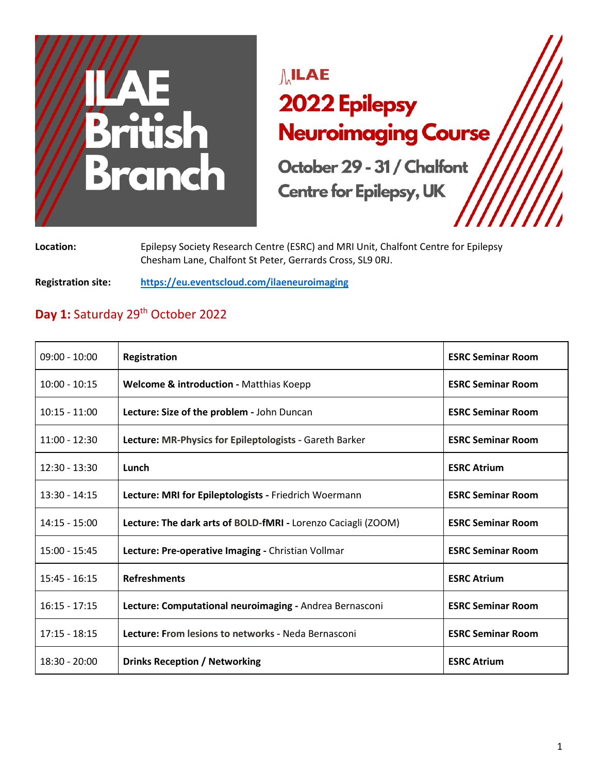

# $\mathcal{M}$ ILAE 2022 Epilepsy **Neuroimaging Course**

October 29 - 31 / Chalfont **Centre for Epilepsy, UK** 

**Location:** Epilepsy Society Research Centre (ESRC) and MRI Unit, Chalfont Centre for Epilepsy Chesham Lane, Chalfont St Peter, Gerrards Cross, SL9 0RJ.

**Registration site: <https://eu.eventscloud.com/ilaeneuroimaging>**

## Day 1: Saturday 29<sup>th</sup> October 2022

| $09:00 - 10:00$ | Registration                                                  | <b>ESRC Seminar Room</b> |
|-----------------|---------------------------------------------------------------|--------------------------|
| $10:00 - 10:15$ | <b>Welcome &amp; introduction - Matthias Koepp</b>            | <b>ESRC Seminar Room</b> |
| $10:15 - 11:00$ | Lecture: Size of the problem - John Duncan                    | <b>ESRC Seminar Room</b> |
| $11:00 - 12:30$ | Lecture: MR-Physics for Epileptologists - Gareth Barker       | <b>ESRC Seminar Room</b> |
| $12:30 - 13:30$ | Lunch                                                         | <b>ESRC Atrium</b>       |
| $13:30 - 14:15$ | Lecture: MRI for Epileptologists - Friedrich Woermann         | <b>ESRC Seminar Room</b> |
| $14:15 - 15:00$ | Lecture: The dark arts of BOLD-fMRI - Lorenzo Caciagli (ZOOM) | <b>ESRC Seminar Room</b> |
| $15:00 - 15:45$ | Lecture: Pre-operative Imaging - Christian Vollmar            | <b>ESRC Seminar Room</b> |
| $15:45 - 16:15$ | <b>Refreshments</b>                                           | <b>ESRC Atrium</b>       |
| $16:15 - 17:15$ | Lecture: Computational neuroimaging - Andrea Bernasconi       | <b>ESRC Seminar Room</b> |
| $17:15 - 18:15$ | Lecture: From lesions to networks - Neda Bernasconi           | <b>ESRC Seminar Room</b> |
| $18:30 - 20:00$ | <b>Drinks Reception / Networking</b>                          | <b>ESRC Atrium</b>       |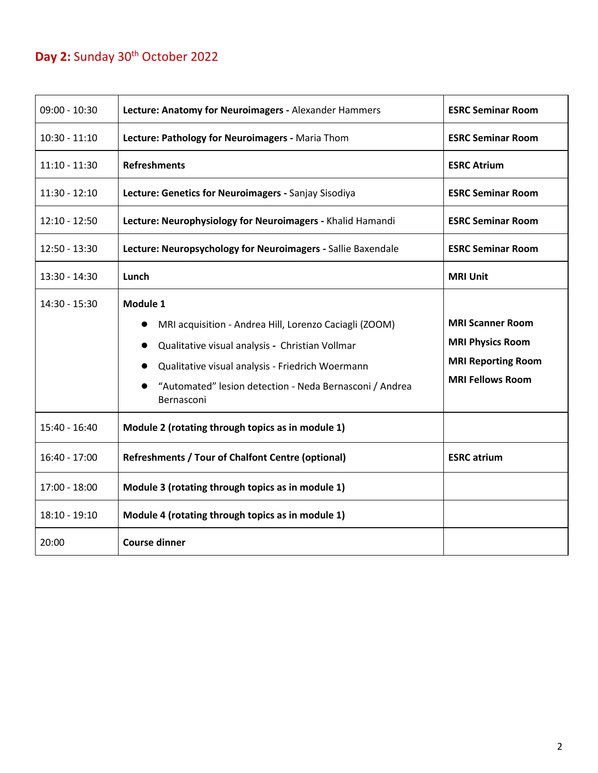### Day 2: Sunday 30<sup>th</sup> October 2022

| $09:00 - 10:30$ | Lecture: Anatomy for Neuroimagers - Alexander Hammers                                                                                                                                                                                                           | <b>ESRC Seminar Room</b>                                                                                   |
|-----------------|-----------------------------------------------------------------------------------------------------------------------------------------------------------------------------------------------------------------------------------------------------------------|------------------------------------------------------------------------------------------------------------|
| $10:30 - 11:10$ | Lecture: Pathology for Neuroimagers - Maria Thom                                                                                                                                                                                                                | <b>ESRC Seminar Room</b>                                                                                   |
| $11:10 - 11:30$ | <b>Refreshments</b>                                                                                                                                                                                                                                             | <b>ESRC Atrium</b>                                                                                         |
| $11:30 - 12:10$ | Lecture: Genetics for Neuroimagers - Sanjay Sisodiya                                                                                                                                                                                                            | <b>ESRC Seminar Room</b>                                                                                   |
| $12:10 - 12:50$ | Lecture: Neurophysiology for Neuroimagers - Khalid Hamandi                                                                                                                                                                                                      | <b>ESRC Seminar Room</b>                                                                                   |
| $12:50 - 13:30$ | Lecture: Neuropsychology for Neuroimagers - Sallie Baxendale                                                                                                                                                                                                    | <b>ESRC Seminar Room</b>                                                                                   |
| $13:30 - 14:30$ | Lunch                                                                                                                                                                                                                                                           | <b>MRI Unit</b>                                                                                            |
| 14:30 - 15:30   | Module 1<br>MRI acquisition - Andrea Hill, Lorenzo Caciagli (ZOOM)<br>Qualitative visual analysis - Christian Vollmar<br>$\bullet$<br>Qualitative visual analysis - Friedrich Woermann<br>"Automated" lesion detection - Neda Bernasconi / Andrea<br>Bernasconi | <b>MRI Scanner Room</b><br><b>MRI Physics Room</b><br><b>MRI Reporting Room</b><br><b>MRI Fellows Room</b> |
| 15:40 - 16:40   | Module 2 (rotating through topics as in module 1)                                                                                                                                                                                                               |                                                                                                            |
| $16:40 - 17:00$ | <b>Refreshments / Tour of Chalfont Centre (optional)</b>                                                                                                                                                                                                        | <b>ESRC</b> atrium                                                                                         |
| $17:00 - 18:00$ | Module 3 (rotating through topics as in module 1)                                                                                                                                                                                                               |                                                                                                            |
| $18:10 - 19:10$ | Module 4 (rotating through topics as in module 1)                                                                                                                                                                                                               |                                                                                                            |
| 20:00           | <b>Course dinner</b>                                                                                                                                                                                                                                            |                                                                                                            |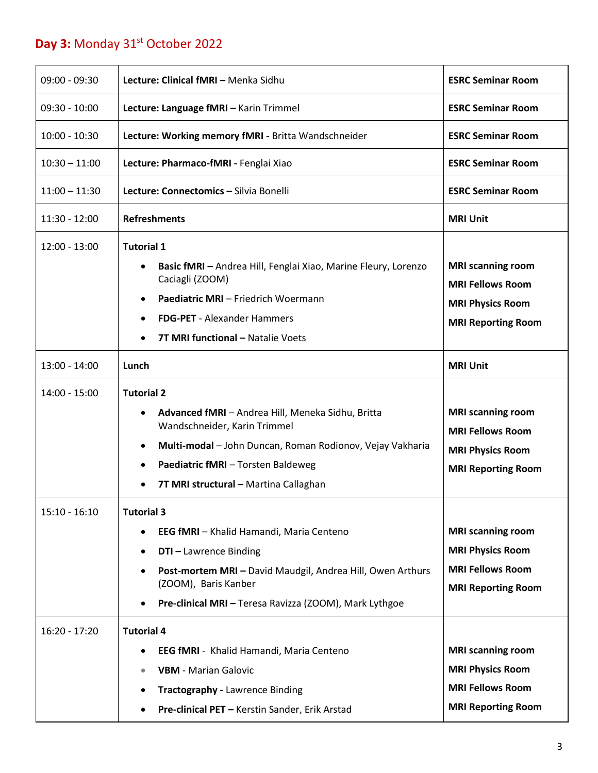## Day 3: Monday 31<sup>st</sup> October 2022

| $09:00 - 09:30$ | Lecture: Clinical fMRI - Menka Sidhu                                                                                                                                                                                                                                              | <b>ESRC Seminar Room</b>                                                                                    |
|-----------------|-----------------------------------------------------------------------------------------------------------------------------------------------------------------------------------------------------------------------------------------------------------------------------------|-------------------------------------------------------------------------------------------------------------|
| $09:30 - 10:00$ | Lecture: Language fMRI - Karin Trimmel                                                                                                                                                                                                                                            | <b>ESRC Seminar Room</b>                                                                                    |
| $10:00 - 10:30$ | Lecture: Working memory fMRI - Britta Wandschneider                                                                                                                                                                                                                               | <b>ESRC Seminar Room</b>                                                                                    |
| $10:30 - 11:00$ | Lecture: Pharmaco-fMRI - Fenglai Xiao                                                                                                                                                                                                                                             | <b>ESRC Seminar Room</b>                                                                                    |
| $11:00 - 11:30$ | Lecture: Connectomics - Silvia Bonelli                                                                                                                                                                                                                                            | <b>ESRC Seminar Room</b>                                                                                    |
| 11:30 - 12:00   | <b>Refreshments</b>                                                                                                                                                                                                                                                               | <b>MRI Unit</b>                                                                                             |
| $12:00 - 13:00$ | <b>Tutorial 1</b><br>Basic fMRI - Andrea Hill, Fenglai Xiao, Marine Fleury, Lorenzo<br>$\bullet$<br>Caciagli (ZOOM)<br>Paediatric MRI - Friedrich Woermann<br><b>FDG-PET</b> - Alexander Hammers<br>$\bullet$<br>7T MRI functional - Natalie Voets                                | <b>MRI scanning room</b><br><b>MRI Fellows Room</b><br><b>MRI Physics Room</b><br><b>MRI Reporting Room</b> |
| 13:00 - 14:00   | Lunch                                                                                                                                                                                                                                                                             | <b>MRI Unit</b>                                                                                             |
| 14:00 - 15:00   | <b>Tutorial 2</b><br>Advanced fMRI - Andrea Hill, Meneka Sidhu, Britta<br>$\bullet$<br>Wandschneider, Karin Trimmel<br>Multi-modal - John Duncan, Roman Rodionov, Vejay Vakharia<br>٠<br>Paediatric fMRI - Torsten Baldeweg<br>$\bullet$<br>7T MRI structural - Martina Callaghan | <b>MRI scanning room</b><br><b>MRI Fellows Room</b><br><b>MRI Physics Room</b><br><b>MRI Reporting Room</b> |
| $15:10 - 16:10$ | <b>Tutorial 3</b><br>EEG fMRI - Khalid Hamandi, Maria Centeno<br><b>DTI-Lawrence Binding</b><br>٠<br>Post-mortem MRI - David Maudgil, Andrea Hill, Owen Arthurs<br>$\bullet$<br>(ZOOM), Baris Kanber<br>Pre-clinical MRI - Teresa Ravizza (ZOOM), Mark Lythgoe                    | <b>MRI scanning room</b><br><b>MRI Physics Room</b><br><b>MRI Fellows Room</b><br><b>MRI Reporting Room</b> |
| $16:20 - 17:20$ | <b>Tutorial 4</b><br>EEG fMRI - Khalid Hamandi, Maria Centeno<br><b>VBM</b> - Marian Galovic<br>$\bullet$<br><b>Tractography - Lawrence Binding</b><br>Pre-clinical PET - Kerstin Sander, Erik Arstad                                                                             | <b>MRI scanning room</b><br><b>MRI Physics Room</b><br><b>MRI Fellows Room</b><br><b>MRI Reporting Room</b> |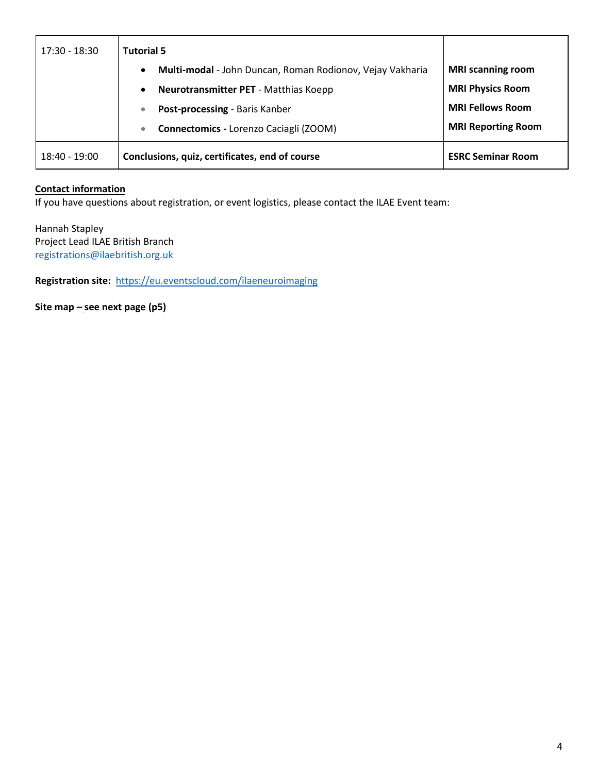| 17:30 - 18:30 | <b>Tutorial 5</b>                                                      |                           |
|---------------|------------------------------------------------------------------------|---------------------------|
|               | Multi-modal - John Duncan, Roman Rodionov, Vejay Vakharia<br>$\bullet$ | <b>MRI</b> scanning room  |
|               | Neurotransmitter PET - Matthias Koepp                                  | <b>MRI Physics Room</b>   |
|               | Post-processing - Baris Kanber                                         | <b>MRI Fellows Room</b>   |
|               | <b>Connectomics - Lorenzo Caciagli (ZOOM)</b>                          | <b>MRI Reporting Room</b> |
| 18:40 - 19:00 | Conclusions, quiz, certificates, end of course                         | <b>ESRC Seminar Room</b>  |

#### **Contact information**

If you have questions about registration, or event logistics, please contact the ILAE Event team:

Hannah Stapley Project Lead ILAE British Branch [registrations@ilaebritish.org.uk](mailto:registrations@ilaebritish.org.uk)

**Registration site:** <https://eu.eventscloud.com/ilaeneuroimaging>

**Site map – see next page (p5)**